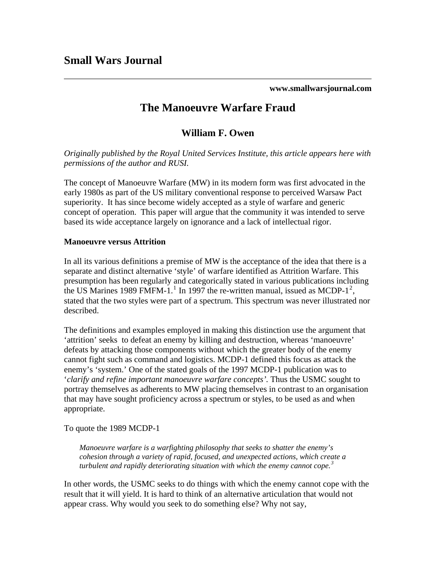**[www.smallwarsjournal.com](http://www.smallwarsjournal.com/)**

# **The Manoeuvre Warfare Fraud**

## **William F. Owen**

*Originally published by the Royal United Services Institute, this article appears here with permissions of the author and RUSI.* 

The concept of Manoeuvre Warfare (MW) in its modern form was first advocated in the early 1980s as part of the US military conventional response to perceived Warsaw Pact superiority. It has since become widely accepted as a style of warfare and generic concept of operation. This paper will argue that the community it was intended to serve based its wide acceptance largely on ignorance and a lack of intellectual rigor.

## **Manoeuvre versus Attrition**

In all its various definitions a premise of MW is the acceptance of the idea that there is a separate and distinct alternative 'style' of warfare identified as Attrition Warfare. This presumption has been regularly and categorically stated in various publications including the US Marines [1](#page-7-0)989 FMFM-1.<sup>1</sup> In 1997 the re-written manual, issued as MCDP-1<sup>[2](#page-7-1)</sup>, stated that the two styles were part of a spectrum. This spectrum was never illustrated nor described.

The definitions and examples employed in making this distinction use the argument that 'attrition' seeks to defeat an enemy by killing and destruction, whereas 'manoeuvre' defeats by attacking those components without which the greater body of the enemy cannot fight such as command and logistics. MCDP-1 defined this focus as attack the enemy's 'system.' One of the stated goals of the 1997 MCDP-1 publication was to '*clarify and refine important manoeuvre warfare concepts'.* Thus the USMC sought to portray themselves as adherents to MW placing themselves in contrast to an organisation that may have sought proficiency across a spectrum or styles, to be used as and when appropriate.

## To quote the 1989 MCDP-1

*Manoeuvre warfare is a warfighting philosophy that seeks to shatter the enemy's cohesion through a variety of rapid, focused, and unexpected actions, which create a turbulent and rapidly deteriorating situation with which the enemy cannot cope.[3](#page-7-1)*

In other words, the USMC seeks to do things with which the enemy cannot cope with the result that it will yield. It is hard to think of an alternative articulation that would not appear crass. Why would you seek to do something else? Why not say,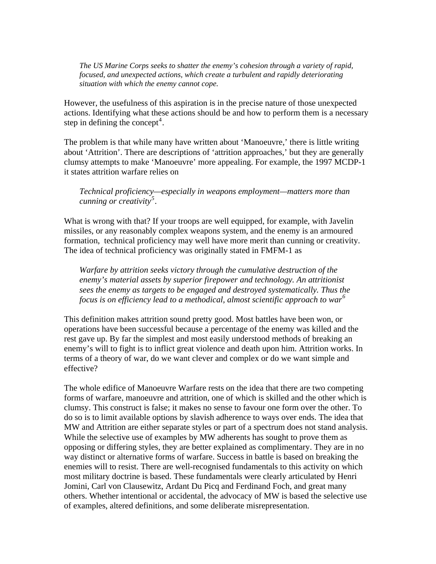*The US Marine Corps seeks to shatter the enemy's cohesion through a variety of rapid, focused, and unexpected actions, which create a turbulent and rapidly deteriorating situation with which the enemy cannot cope.* 

However, the usefulness of this aspiration is in the precise nature of those unexpected actions. Identifying what these actions should be and how to perform them is a necessary step in defining the concept<sup>[4](#page-7-1)</sup>.

The problem is that while many have written about 'Manoeuvre,' there is little writing about 'Attrition'. There are descriptions of 'attrition approaches,' but they are generally clumsy attempts to make 'Manoeuvre' more appealing. For example, the 1997 MCDP-1 it states attrition warfare relies on

#### *Technical proficiency—especially in weapons employment—matters more than cunning or creativity[5](#page-7-1)* .

What is wrong with that? If your troops are well equipped, for example, with Javelin missiles, or any reasonably complex weapons system, and the enemy is an armoured formation, technical proficiency may well have more merit than cunning or creativity. The idea of technical proficiency was originally stated in FMFM-1 as

*Warfare by attrition seeks victory through the cumulative destruction of the enemy's material assets by superior firepower and technology. An attritionist sees the enemy as targets to be engaged and destroyed systematically. Thus the focus is on efficiency lead to a methodical, almost scientific approach to war[6](#page-7-1)*

This definition makes attrition sound pretty good. Most battles have been won, or operations have been successful because a percentage of the enemy was killed and the rest gave up. By far the simplest and most easily understood methods of breaking an enemy's will to fight is to inflict great violence and death upon him. Attrition works. In terms of a theory of war, do we want clever and complex or do we want simple and effective?

The whole edifice of Manoeuvre Warfare rests on the idea that there are two competing forms of warfare, manoeuvre and attrition, one of which is skilled and the other which is clumsy. This construct is false; it makes no sense to favour one form over the other. To do so is to limit available options by slavish adherence to ways over ends. The idea that MW and Attrition are either separate styles or part of a spectrum does not stand analysis. While the selective use of examples by MW adherents has sought to prove them as opposing or differing styles, they are better explained as complimentary. They are in no way distinct or alternative forms of warfare. Success in battle is based on breaking the enemies will to resist. There are well-recognised fundamentals to this activity on which most military doctrine is based. These fundamentals were clearly articulated by Henri Jomini, Carl von Clausewitz, Ardant Du Picq and Ferdinand Foch, and great many others. Whether intentional or accidental, the advocacy of MW is based the selective use of examples, altered definitions, and some deliberate misrepresentation.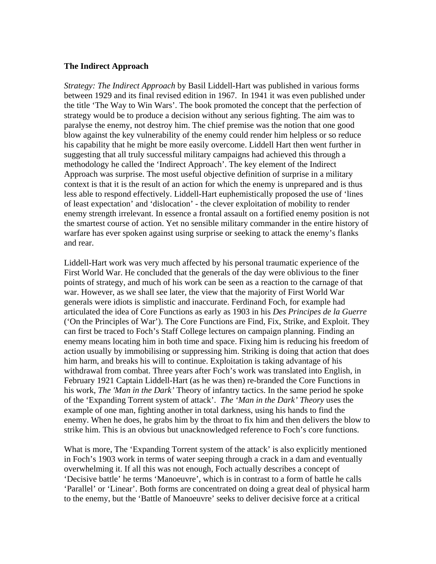#### **The Indirect Approach**

*Strategy: The Indirect Approach* by Basil Liddell-Hart was published in various forms between 1929 and its final revised edition in 1967. In 1941 it was even published under the title 'The Way to Win Wars'. The book promoted the concept that the perfection of strategy would be to produce a decision without any serious fighting. The aim was to paralyse the enemy, not destroy him. The chief premise was the notion that one good blow against the key vulnerability of the enemy could render him helpless or so reduce his capability that he might be more easily overcome. Liddell Hart then went further in suggesting that all truly successful military campaigns had achieved this through a methodology he called the 'Indirect Approach'. The key element of the Indirect Approach was surprise. The most useful objective definition of surprise in a military context is that it is the result of an action for which the enemy is unprepared and is thus less able to respond effectively. Liddell-Hart euphemistically proposed the use of 'lines of least expectation' and 'dislocation' - the clever exploitation of mobility to render enemy strength irrelevant. In essence a frontal assault on a fortified enemy position is not the smartest course of action. Yet no sensible military commander in the entire history of warfare has ever spoken against using surprise or seeking to attack the enemy's flanks and rear.

Liddell-Hart work was very much affected by his personal traumatic experience of the First World War. He concluded that the generals of the day were oblivious to the finer points of strategy, and much of his work can be seen as a reaction to the carnage of that war. However, as we shall see later, the view that the majority of First World War generals were idiots is simplistic and inaccurate. Ferdinand Foch, for example had articulated the idea of Core Functions as early as 1903 in his *Des Principes de la Guerre* ('On the Principles of War'). The Core Functions are Find, Fix, Strike, and Exploit. They can first be traced to Foch's Staff College lectures on campaign planning. Finding an enemy means locating him in both time and space. Fixing him is reducing his freedom of action usually by immobilising or suppressing him. Striking is doing that action that does him harm, and breaks his will to continue. Exploitation is taking advantage of his withdrawal from combat. Three years after Foch's work was translated into English, in February 1921 Captain Liddell-Hart (as he was then) re-branded the Core Functions in his work, *The 'Man in the Dark'* Theory of infantry tactics. In the same period he spoke of the 'Expanding Torrent system of attack'. *The 'Man in the Dark' Theory* uses the example of one man, fighting another in total darkness, using his hands to find the enemy. When he does, he grabs him by the throat to fix him and then delivers the blow to strike him. This is an obvious but unacknowledged reference to Foch's core functions.

What is more, The 'Expanding Torrent system of the attack' is also explicitly mentioned in Foch's 1903 work in terms of water seeping through a crack in a dam and eventually overwhelming it. If all this was not enough, Foch actually describes a concept of 'Decisive battle' he terms 'Manoeuvre', which is in contrast to a form of battle he calls 'Parallel' or 'Linear'. Both forms are concentrated on doing a great deal of physical harm to the enemy, but the 'Battle of Manoeuvre' seeks to deliver decisive force at a critical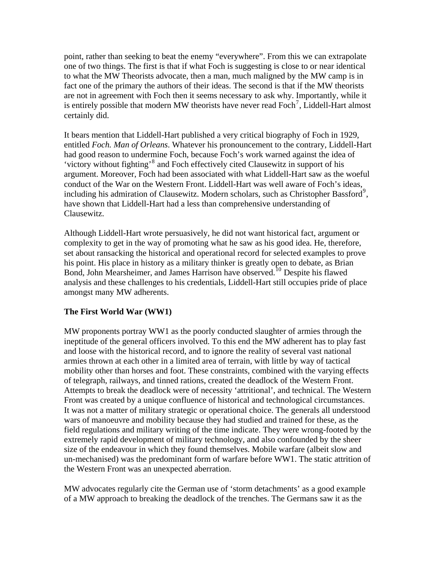point, rather than seeking to beat the enemy "everywhere". From this we can extrapolate one of two things. The first is that if what Foch is suggesting is close to or near identical to what the MW Theorists advocate, then a man, much maligned by the MW camp is in fact one of the primary the authors of their ideas. The second is that if the MW theorists are not in agreement with Foch then it seems necessary to ask why. Importantly, while it is entirely possible that modern MW theorists have never read  $Foch^7$  $Foch^7$ , Liddell-Hart almost certainly did.

It bears mention that Liddell-Hart published a very critical biography of Foch in 1929, entitled *Foch. Man of Orleans*. Whatever his pronouncement to the contrary, Liddell-Hart had good reason to undermine Foch, because Foch's work warned against the idea of 'victory without fighting'<sup>[8](#page-7-1)</sup> and Foch effectively cited Clausewitz in support of his argument. Moreover, Foch had been associated with what Liddell-Hart saw as the woeful conduct of the War on the Western Front. Liddell-Hart was well aware of Foch's ideas, including his admiration of Clausewitz. Modern scholars, such as Christopher Bassford<sup>[9](#page-7-1)</sup>, have shown that Liddell-Hart had a less than comprehensive understanding of Clausewitz.

Although Liddell-Hart wrote persuasively, he did not want historical fact, argument or complexity to get in the way of promoting what he saw as his good idea. He, therefore, set about ransacking the historical and operational record for selected examples to prove his point. His place in history as a military thinker is greatly open to debate, as Brian Bond, John Mearsheimer, and James Harrison have observed.<sup>[10](#page-7-1)</sup> Despite his flawed analysis and these challenges to his credentials, Liddell-Hart still occupies pride of place amongst many MW adherents.

## **The First World War (WW1)**

MW proponents portray WW1 as the poorly conducted slaughter of armies through the ineptitude of the general officers involved. To this end the MW adherent has to play fast and loose with the historical record, and to ignore the reality of several vast national armies thrown at each other in a limited area of terrain, with little by way of tactical mobility other than horses and foot. These constraints, combined with the varying effects of telegraph, railways, and tinned rations, created the deadlock of the Western Front. Attempts to break the deadlock were of necessity 'attritional', and technical. The Western Front was created by a unique confluence of historical and technological circumstances. It was not a matter of military strategic or operational choice. The generals all understood wars of manoeuvre and mobility because they had studied and trained for these, as the field regulations and military writing of the time indicate. They were wrong-footed by the extremely rapid development of military technology, and also confounded by the sheer size of the endeavour in which they found themselves. Mobile warfare (albeit slow and un-mechanised) was the predominant form of warfare before WW1. The static attrition of the Western Front was an unexpected aberration.

MW advocates regularly cite the German use of 'storm detachments' as a good example of a MW approach to breaking the deadlock of the trenches. The Germans saw it as the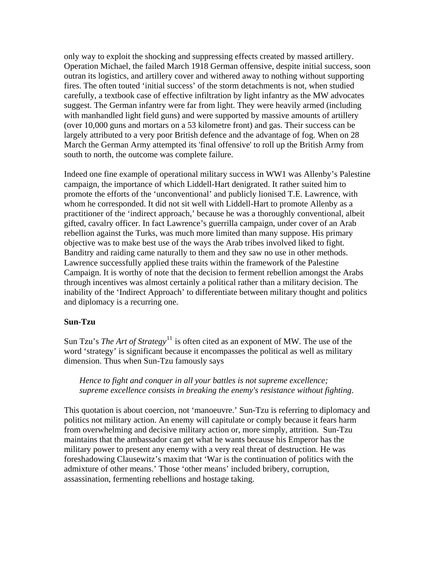only way to exploit the shocking and suppressing effects created by massed artillery. Operation Michael, the failed March 1918 German offensive, despite initial success, soon outran its logistics, and artillery cover and withered away to nothing without supporting fires. The often touted 'initial success' of the storm detachments is not, when studied carefully, a textbook case of effective infiltration by light infantry as the MW advocates suggest. The German infantry were far from light. They were heavily armed (including with manhandled light field guns) and were supported by massive amounts of artillery (over 10,000 guns and mortars on a 53 kilometre front) and gas. Their success can be largely attributed to a very poor British defence and the advantage of fog. When on 28 March the German Army attempted its 'final offensive' to roll up the British Army from south to north, the outcome was complete failure.

Indeed one fine example of operational military success in WW1 was Allenby's Palestine campaign, the importance of which Liddell-Hart denigrated. It rather suited him to promote the efforts of the 'unconventional' and publicly lionised T.E. Lawrence, with whom he corresponded. It did not sit well with Liddell-Hart to promote Allenby as a practitioner of the 'indirect approach,' because he was a thoroughly conventional, albeit gifted, cavalry officer. In fact Lawrence's guerrilla campaign, under cover of an Arab rebellion against the Turks, was much more limited than many suppose. His primary objective was to make best use of the ways the Arab tribes involved liked to fight. Banditry and raiding came naturally to them and they saw no use in other methods. Lawrence successfully applied these traits within the framework of the Palestine Campaign. It is worthy of note that the decision to ferment rebellion amongst the Arabs through incentives was almost certainly a political rather than a military decision. The inability of the 'Indirect Approach' to differentiate between military thought and politics and diplomacy is a recurring one.

#### **Sun-Tzu**

Sun Tzu's *The Art of Strategy*<sup>[11](#page-7-1)</sup> is often cited as an exponent of MW. The use of the word 'strategy' is significant because it encompasses the political as well as military dimension. Thus when Sun-Tzu famously says

*Hence to fight and conquer in all your battles is not supreme excellence; supreme excellence consists in breaking the enemy's resistance without fighting*.

This quotation is about coercion, not 'manoeuvre.' Sun-Tzu is referring to diplomacy and politics not military action. An enemy will capitulate or comply because it fears harm from overwhelming and decisive military action or, more simply, attrition. Sun-Tzu maintains that the ambassador can get what he wants because his Emperor has the military power to present any enemy with a very real threat of destruction. He was foreshadowing Clausewitz's maxim that 'War is the continuation of politics with the admixture of other means.' Those 'other means' included bribery, corruption, assassination, fermenting rebellions and hostage taking.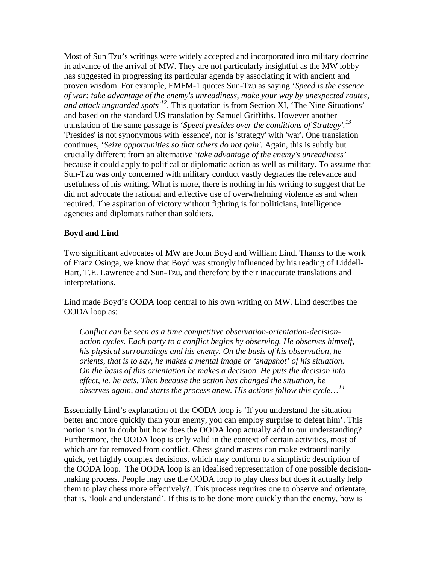Most of Sun Tzu's writings were widely accepted and incorporated into military doctrine in advance of the arrival of MW. They are not particularly insightful as the MW lobby has suggested in progressing its particular agenda by associating it with ancient and proven wisdom. For example, FMFM-1 quotes Sun-Tzu as saying '*Speed is the essence of war: take advantage of the enemy's unreadiness, make your way by unexpected routes, and attack unguarded spots'[12](#page-8-0).* This quotation is from Section XI, 'The Nine Situations' and based on the standard US translation by Samuel Griffiths. However another translation of the same passage is '*Speed presides over the conditions of Strategy'.[13](#page-8-0)* 'Presides' is not synonymous with 'essence', nor is 'strategy' with 'war'. One translation continues, '*Seize opportunities so that others do not gain'.* Again, this is subtly but crucially different from an alternative '*take advantage of the enemy's unreadiness'*  because it could apply to political or diplomatic action as well as military. To assume that Sun-Tzu was only concerned with military conduct vastly degrades the relevance and usefulness of his writing. What is more, there is nothing in his writing to suggest that he did not advocate the rational and effective use of overwhelming violence as and when required. The aspiration of victory without fighting is for politicians, intelligence agencies and diplomats rather than soldiers.

### **Boyd and Lind**

Two significant advocates of MW are John Boyd and William Lind. Thanks to the work of Franz Osinga, we know that Boyd was strongly influenced by his reading of Liddell-Hart, T.E. Lawrence and Sun-Tzu, and therefore by their inaccurate translations and interpretations.

Lind made Boyd's OODA loop central to his own writing on MW. Lind describes the OODA loop as:

*Conflict can be seen as a time competitive observation-orientation-decisionaction cycles. Each party to a conflict begins by observing. He observes himself, his physical surroundings and his enemy. On the basis of his observation, he orients, that is to say, he makes a mental image or 'snapshot' of his situation. On the basis of this orientation he makes a decision. He puts the decision into effect, ie. he acts. Then because the action has changed the situation, he observes again, and starts the process anew. His actions follow this cycle…[14](#page-8-0)*

Essentially Lind's explanation of the OODA loop is 'If you understand the situation better and more quickly than your enemy, you can employ surprise to defeat him'. This notion is not in doubt but how does the OODA loop actually add to our understanding? Furthermore, the OODA loop is only valid in the context of certain activities, most of which are far removed from conflict. Chess grand masters can make extraordinarily quick, yet highly complex decisions, which may conform to a simplistic description of the OODA loop. The OODA loop is an idealised representation of one possible decisionmaking process. People may use the OODA loop to play chess but does it actually help them to play chess more effectively?. This process requires one to observe and orientate, that is, 'look and understand'. If this is to be done more quickly than the enemy, how is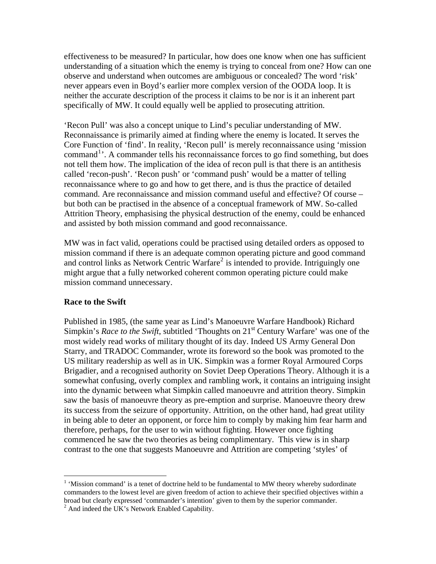effectiveness to be measured? In particular, how does one know when one has sufficient understanding of a situation which the enemy is trying to conceal from one? How can one observe and understand when outcomes are ambiguous or concealed? The word 'risk' never appears even in Boyd's earlier more complex version of the OODA loop. It is neither the accurate description of the process it claims to be nor is it an inherent part specifically of MW. It could equally well be applied to prosecuting attrition.

'Recon Pull' was also a concept unique to Lind's peculiar understanding of MW. Reconnaissance is primarily aimed at finding where the enemy is located. It serves the Core Function of 'find'. In reality, 'Recon pull' is merely reconnaissance using 'mission command<sup>[1](#page-6-0)</sup>. A commander tells his reconnaissance forces to go find something, but does not tell them how. The implication of the idea of recon pull is that there is an antithesis called 'recon-push'. 'Recon push' or 'command push' would be a matter of telling reconnaissance where to go and how to get there, and is thus the practice of detailed command. Are reconnaissance and mission command useful and effective? Of course – but both can be practised in the absence of a conceptual framework of MW. So-called Attrition Theory, emphasising the physical destruction of the enemy, could be enhanced and assisted by both mission command and good reconnaissance.

MW was in fact valid, operations could be practised using detailed orders as opposed to mission command if there is an adequate common operating picture and good command and control links as Network Centric Warfare<sup>[2](#page-6-1)</sup> is intended to provide. Intriguingly one might argue that a fully networked coherent common operating picture could make mission command unnecessary.

#### **Race to the Swift**

 $\overline{a}$ 

Published in 1985, (the same year as Lind's Manoeuvre Warfare Handbook) Richard Simpkin's *Race to the Swift*, subtitled 'Thoughts on 21<sup>st</sup> Century Warfare' was one of the most widely read works of military thought of its day. Indeed US Army General Don Starry, and TRADOC Commander, wrote its foreword so the book was promoted to the US military readership as well as in UK. Simpkin was a former Royal Armoured Corps Brigadier, and a recognised authority on Soviet Deep Operations Theory. Although it is a somewhat confusing, overly complex and rambling work, it contains an intriguing insight into the dynamic between what Simpkin called manoeuvre and attrition theory. Simpkin saw the basis of manoeuvre theory as pre-emption and surprise. Manoeuvre theory drew its success from the seizure of opportunity. Attrition, on the other hand, had great utility in being able to deter an opponent, or force him to comply by making him fear harm and therefore, perhaps, for the user to win without fighting. However once fighting commenced he saw the two theories as being complimentary. This view is in sharp contrast to the one that suggests Manoeuvre and Attrition are competing 'styles' of

<span id="page-6-0"></span> $<sup>1</sup>$  'Mission command' is a tenet of doctrine held to be fundamental to MW theory whereby sudordinate</sup> commanders to the lowest level are given freedom of action to achieve their specified objectives within a broad but clearly expressed 'commander's intention' given to them by the superior commander.

<span id="page-6-1"></span> $2$  And indeed the UK's Network Enabled Capability.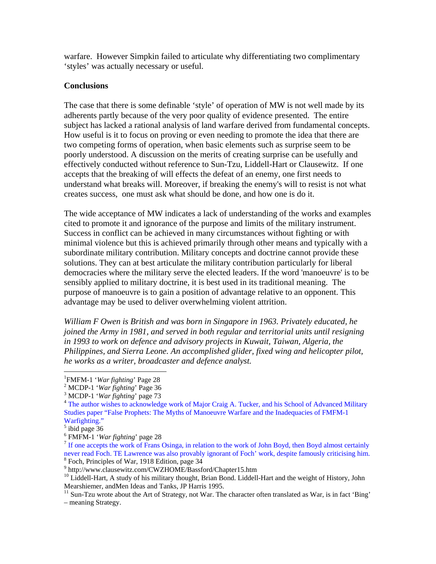<span id="page-7-1"></span>warfare. However Simpkin failed to articulate why differentiating two complimentary 'styles' was actually necessary or useful.

#### **Conclusions**

The case that there is some definable 'style' of operation of MW is not well made by its adherents partly because of the very poor quality of evidence presented. The entire subject has lacked a rational analysis of land warfare derived from fundamental concepts. How useful is it to focus on proving or even needing to promote the idea that there are two competing forms of operation, when basic elements such as surprise seem to be poorly understood. A discussion on the merits of creating surprise can be usefully and effectively conducted without reference to Sun-Tzu, Liddell-Hart or Clausewitz. If one accepts that the breaking of will effects the defeat of an enemy, one first needs to understand what breaks will. Moreover, if breaking the enemy's will to resist is not what creates success, one must ask what should be done, and how one is do it.

The wide acceptance of MW indicates a lack of understanding of the works and examples cited to promote it and ignorance of the purpose and limits of the military instrument. Success in conflict can be achieved in many circumstances without fighting or with minimal violence but this is achieved primarily through other means and typically with a subordinate military contribution. Military concepts and doctrine cannot provide these solutions. They can at best articulate the military contribution particularly for liberal democracies where the military serve the elected leaders. If the word 'manoeuvre' is to be sensibly applied to military doctrine, it is best used in its traditional meaning. The purpose of manoeuvre is to gain a position of advantage relative to an opponent. This advantage may be used to deliver overwhelming violent attrition.

*William F Owen is British and was born in Singapore in 1963. Privately educated, he joined the Army in 1981, and served in both regular and territorial units until resigning in 1993 to work on defence and advisory projects in Kuwait, Taiwan, Algeria, the Philippines, and Sierra Leone. An accomplished glider, fixed wing and helicopter pilot, he works as a writer, broadcaster and defence analyst.* 

 $\overline{a}$ 

<sup>&</sup>lt;sup>1</sup>FMFM-1 '*War fighting*' Page 28<br><sup>2</sup> MCDP 1 '*War fighting*' Page 26

<span id="page-7-0"></span><sup>&</sup>lt;sup>2</sup> MCDP-1 '*War fighting*' Page 36<sup>3</sup> MCDP-1 '*War fighting*' page 73

<sup>&</sup>lt;sup>4</sup> The author wishes to acknowledge work of Major Craig A. Tucker, and his School of Advanced Military Studies paper "False Prophets: The Myths of Manoeuvre Warfare and the Inadequacies of FMFM-1 Warfighting."

 $<sup>5</sup>$  ibid page 36</sup>

 $6$  FMFM-1 'War fighting' page 28

<sup>&</sup>lt;sup>7</sup> If one accepts the work of Frans Osinga, in relation to the work of John Boyd, then Boyd almost certainly never read Foch. TE Lawrence was also provably ignorant of Foch' work, despite famously criticising him. <sup>8</sup> Foch, Principles of War, 1918 Edition, page 34

<sup>&</sup>lt;sup>9</sup> http://www.clausewitz.com/CWZHOME/Bassford/Chapter15.htm

 $h^0$  Liddell-Hart, A study of his military thought, Brian Bond. Liddell-Hart and the weight of History, John

Mearshiemer, andMen Ideas and Tanks, JP Harris 1995.<br><sup>11</sup> Sun-Tzu wrote about the Art of Strategy, not War. The character often translated as War, is in fact 'Bing' – meaning Strategy.